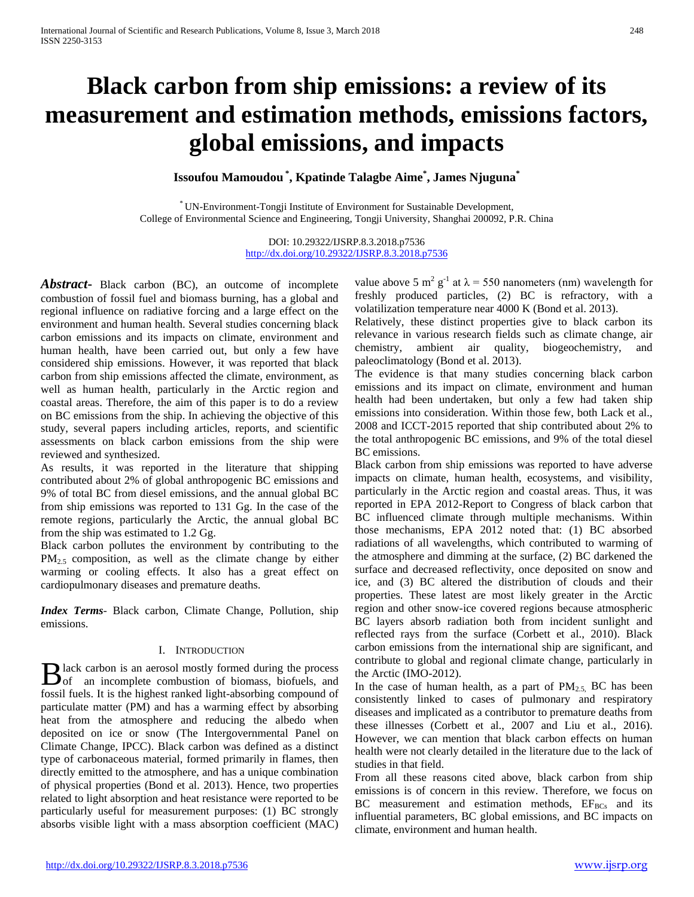# **Black carbon from ship emissions: a review of its measurement and estimation methods, emissions factors, global emissions, and impacts**

**Issoufou Mamoudou \* , Kpatinde Talagbe Aime\* , James Njuguna\***

\* UN-Environment-Tongji Institute of Environment for Sustainable Development, College of Environmental Science and Engineering, Tongji University, Shanghai 200092, P.R. China

> DOI: 10.29322/IJSRP.8.3.2018.p7536 <http://dx.doi.org/10.29322/IJSRP.8.3.2018.p7536>

*Abstract***-** Black carbon (BC), an outcome of incomplete combustion of fossil fuel and biomass burning, has a global and regional influence on radiative forcing and a large effect on the environment and human health. Several studies concerning black carbon emissions and its impacts on climate, environment and human health, have been carried out, but only a few have considered ship emissions. However, it was reported that black carbon from ship emissions affected the climate, environment, as well as human health, particularly in the Arctic region and coastal areas. Therefore, the aim of this paper is to do a review on BC emissions from the ship. In achieving the objective of this study, several papers including articles, reports, and scientific assessments on black carbon emissions from the ship were reviewed and synthesized.

As results, it was reported in the literature that shipping contributed about 2% of global anthropogenic BC emissions and 9% of total BC from diesel emissions, and the annual global BC from ship emissions was reported to 131 Gg. In the case of the remote regions, particularly the Arctic, the annual global BC from the ship was estimated to 1.2 Gg.

Black carbon pollutes the environment by contributing to the  $PM_{2.5}$  composition, as well as the climate change by either warming or cooling effects. It also has a great effect on cardiopulmonary diseases and premature deaths.

*Index Terms*- Black carbon, Climate Change, Pollution, ship emissions.

# I. INTRODUCTION

lack carbon is an aerosol mostly formed during the process B lack carbon is an aerosol mostly formed during the process<br>of an incomplete combustion of biomass, biofuels, and fossil fuels. It is the highest ranked light-absorbing compound of particulate matter (PM) and has a warming effect by absorbing heat from the atmosphere and reducing the albedo when deposited on ice or snow (The Intergovernmental Panel on Climate Change, IPCC). Black carbon was defined as a distinct type of carbonaceous material, formed primarily in flames, then directly emitted to the atmosphere, and has a unique combination of physical properties (Bond et al. 2013). Hence, two properties related to light absorption and heat resistance were reported to be particularly useful for measurement purposes: (1) BC strongly absorbs visible light with a mass absorption coefficient (MAC)

value above 5 m<sup>2</sup> g<sup>-1</sup> at  $\lambda$  = 550 nanometers (nm) wavelength for freshly produced particles, (2) BC is refractory, with a volatilization temperature near 4000 K (Bond et al. 2013).

Relatively, these distinct properties give to black carbon its relevance in various research fields such as climate change, air chemistry, ambient air quality, biogeochemistry, and paleoclimatology (Bond et al. 2013).

The evidence is that many studies concerning black carbon emissions and its impact on climate, environment and human health had been undertaken, but only a few had taken ship emissions into consideration. Within those few, both Lack et al., 2008 and ICCT-2015 reported that ship contributed about 2% to the total anthropogenic BC emissions, and 9% of the total diesel BC emissions.

Black carbon from ship emissions was reported to have adverse impacts on climate, human health, ecosystems, and visibility, particularly in the Arctic region and coastal areas. Thus, it was reported in EPA 2012-Report to Congress of black carbon that BC influenced climate through multiple mechanisms. Within those mechanisms, EPA 2012 noted that: (1) BC absorbed radiations of all wavelengths, which contributed to warming of the atmosphere and dimming at the surface, (2) BC darkened the surface and decreased reflectivity, once deposited on snow and ice, and (3) BC altered the distribution of clouds and their properties. These latest are most likely greater in the Arctic region and other snow-ice covered regions because atmospheric BC layers absorb radiation both from incident sunlight and reflected rays from the surface (Corbett et al., 2010). Black carbon emissions from the international ship are significant, and contribute to global and regional climate change, particularly in the Arctic (IMO-2012).

In the case of human health, as a part of  $PM_{2.5}$ , BC has been consistently linked to cases of pulmonary and respiratory diseases and implicated as a contributor to premature deaths from these illnesses (Corbett et al., 2007 and Liu et al., 2016). However, we can mention that black carbon effects on human health were not clearly detailed in the literature due to the lack of studies in that field.

From all these reasons cited above, black carbon from ship emissions is of concern in this review. Therefore, we focus on BC measurement and estimation methods,  $EF_{BCs}$  and its influential parameters, BC global emissions, and BC impacts on climate, environment and human health.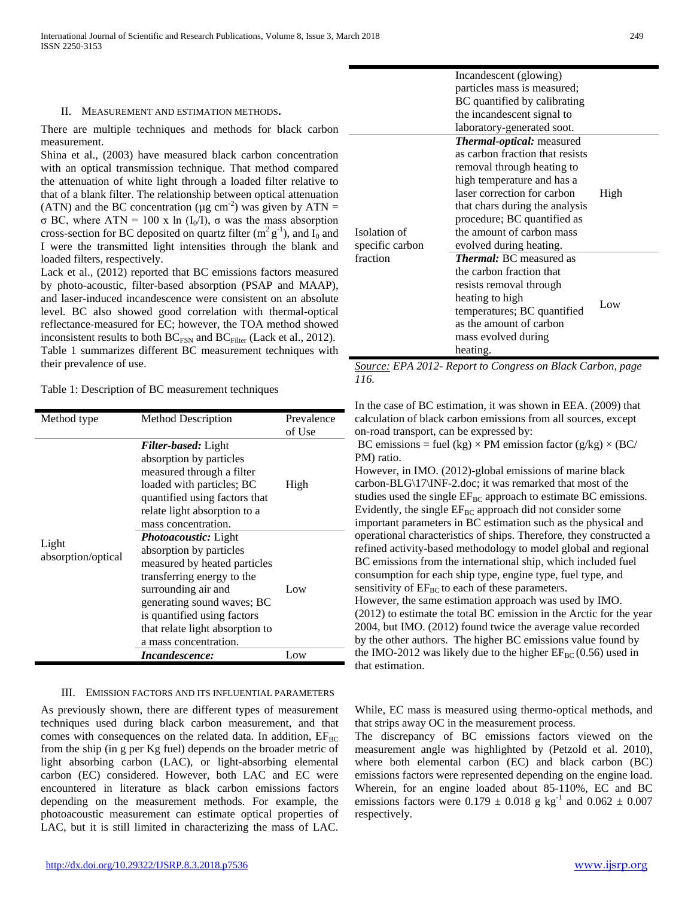#### II. MEASUREMENT AND ESTIMATION METHODS**.**

There are multiple techniques and methods for black carbon measurement.

Shina et al., (2003) have measured black carbon concentration with an optical transmission technique. That method compared the attenuation of white light through a loaded filter relative to that of a blank filter. The relationship between optical attenuation (ATN) and the BC concentration ( $\mu$ g cm<sup>-2</sup>) was given by ATN = σ BC, where ATN = 100 x ln (I0/I), σ was the mass absorption cross-section for BC deposited on quartz filter  $(m^2 g^{-1})$ , and  $I_0$  and I were the transmitted light intensities through the blank and loaded filters, respectively.

Lack et al., (2012) reported that BC emissions factors measured by photo-acoustic, filter-based absorption (PSAP and MAAP), and laser-induced incandescence were consistent on an absolute level. BC also showed good correlation with thermal-optical reflectance-measured for EC; however, the TOA method showed inconsistent results to both  $BC_{FSN}$  and  $BC_{Filler}$  (Lack et al., 2012). Table 1 summarizes different BC measurement techniques with their prevalence of use.

Table 1: Description of BC measurement techniques

| Method type                 | <b>Method Description</b>                                                                                                                                                                                                                                            | Prevalence<br>of Use |  |
|-----------------------------|----------------------------------------------------------------------------------------------------------------------------------------------------------------------------------------------------------------------------------------------------------------------|----------------------|--|
| Light<br>absorption/optical | <b>Filter-based:</b> Light<br>absorption by particles<br>measured through a filter<br>loaded with particles; BC<br>quantified using factors that<br>relate light absorption to a<br>mass concentration.                                                              | High                 |  |
|                             | <i>Photoacoustic: Light</i><br>absorption by particles<br>measured by heated particles<br>transferring energy to the<br>surrounding air and<br>generating sound waves; BC<br>is quantified using factors<br>that relate light absorption to<br>a mass concentration. | Low                  |  |
|                             | <i>Incandescence:</i>                                                                                                                                                                                                                                                | Low                  |  |

#### III. EMISSION FACTORS AND ITS INFLUENTIAL PARAMETERS

As previously shown, there are different types of measurement techniques used during black carbon measurement, and that comes with consequences on the related data. In addition,  $EF_{BC}$ from the ship (in g per Kg fuel) depends on the broader metric of light absorbing carbon (LAC), or light-absorbing elemental carbon (EC) considered. However, both LAC and EC were encountered in literature as black carbon emissions factors depending on the measurement methods. For example, the photoacoustic measurement can estimate optical properties of LAC, but it is still limited in characterizing the mass of LAC.

|                 | Incandescent (glowing)          |      |  |  |  |  |  |
|-----------------|---------------------------------|------|--|--|--|--|--|
|                 | particles mass is measured;     |      |  |  |  |  |  |
|                 | BC quantified by calibrating    |      |  |  |  |  |  |
|                 | the incandescent signal to      |      |  |  |  |  |  |
|                 | laboratory-generated soot.      |      |  |  |  |  |  |
|                 | Thermal-optical: measured       |      |  |  |  |  |  |
|                 | as carbon fraction that resists |      |  |  |  |  |  |
|                 | removal through heating to      |      |  |  |  |  |  |
|                 | high temperature and has a      |      |  |  |  |  |  |
|                 | laser correction for carbon     | High |  |  |  |  |  |
|                 | that chars during the analysis  |      |  |  |  |  |  |
|                 | procedure; BC quantified as     |      |  |  |  |  |  |
| Isolation of    | the amount of carbon mass       |      |  |  |  |  |  |
| specific carbon | evolved during heating.         |      |  |  |  |  |  |
| fraction        | <b>Thermal:</b> BC measured as  |      |  |  |  |  |  |
|                 | the carbon fraction that        |      |  |  |  |  |  |
|                 | resists removal through         |      |  |  |  |  |  |
|                 | heating to high                 |      |  |  |  |  |  |
|                 | temperatures; BC quantified     | Low  |  |  |  |  |  |
|                 | as the amount of carbon         |      |  |  |  |  |  |
|                 | mass evolved during             |      |  |  |  |  |  |
|                 | heating.                        |      |  |  |  |  |  |

*Source: EPA 2012- Report to Congress on Black Carbon, page 116.*

In the case of BC estimation, it was shown in EEA. (2009) that calculation of black carbon emissions from all sources, except on-road transport, can be expressed by:

BC emissions = fuel (kg)  $\times$  PM emission factor (g/kg)  $\times$  (BC/ PM) ratio.

However, in IMO. (2012)-global emissions of marine black carbon-BLG\17\INF-2.doc; it was remarked that most of the studies used the single  $EF_{BC}$  approach to estimate BC emissions. Evidently, the single  $EF_{BC}$  approach did not consider some important parameters in BC estimation such as the physical and operational characteristics of ships. Therefore, they constructed a refined activity-based methodology to model global and regional BC emissions from the international ship, which included fuel consumption for each ship type, engine type, fuel type, and sensitivity of  $EF_{BC}$  to each of these parameters. However, the same estimation approach was used by IMO. (2012) to estimate the total BC emission in the Arctic for the year 2004, but IMO. (2012) found twice the average value recorded by the other authors. The higher BC emissions value found by the IMO-2012 was likely due to the higher  $EF_{BC}(0.56)$  used in that estimation.

While, EC mass is measured using thermo-optical methods, and that strips away OC in the measurement process.

The discrepancy of BC emissions factors viewed on the measurement angle was highlighted by (Petzold et al. 2010), where both elemental carbon (EC) and black carbon (BC) emissions factors were represented depending on the engine load. Wherein, for an engine loaded about 85-110%, EC and BC emissions factors were  $0.179 \pm 0.018$  g kg<sup>-1</sup> and  $0.062 \pm 0.007$ respectively.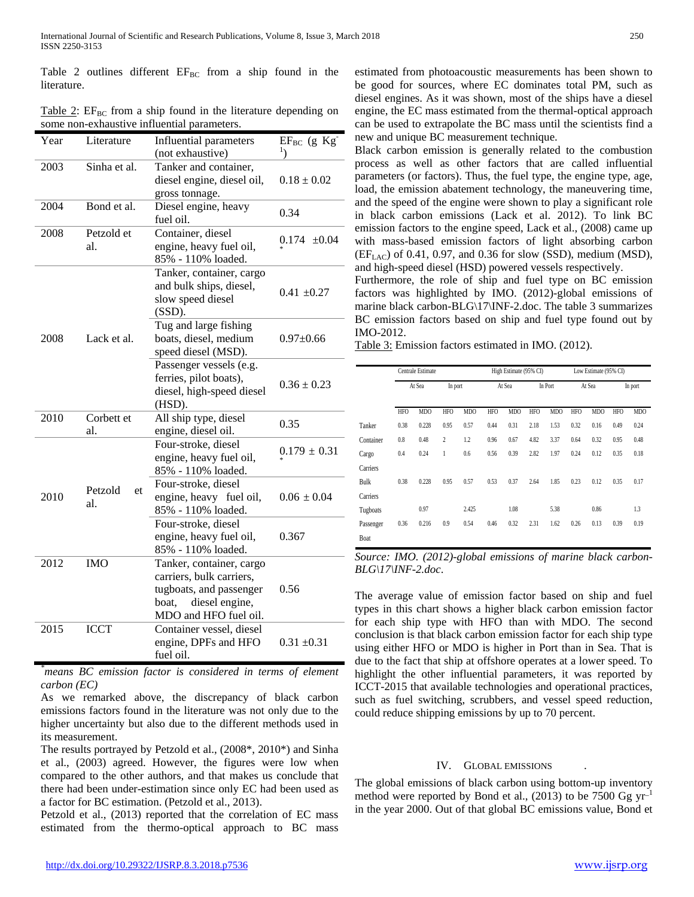Table 2 outlines different  $EF_{BC}$  from a ship found in the literature.

Table 2:  $EF_{BC}$  from a ship found in the literature depending on some non-exhaustive influential parameters.

| Year                         | Literature        | Influential parameters                                                                                                              | $EF_{BC}$ (g $Kg^-$ |
|------------------------------|-------------------|-------------------------------------------------------------------------------------------------------------------------------------|---------------------|
|                              |                   | (not exhaustive)                                                                                                                    |                     |
| 2003                         | Sinha et al.      | Tanker and container,<br>diesel engine, diesel oil,<br>gross tonnage.                                                               | $0.18 \pm 0.02$     |
| 2004                         | Bond et al.       | Diesel engine, heavy<br>fuel oil.                                                                                                   | 0.34                |
| 2008                         | Petzold et<br>al. | Container, diesel<br>engine, heavy fuel oil,<br>85% - 110% loaded.                                                                  | $0.174 \pm 0.04$    |
|                              |                   | Tanker, container, cargo<br>and bulk ships, diesel,<br>slow speed diesel<br>$(SSD)$ .                                               | $0.41 \pm 0.27$     |
| 2008<br>Lack et al.          |                   | Tug and large fishing<br>boats, diesel, medium<br>speed diesel (MSD).                                                               | $0.97 + 0.66$       |
|                              |                   | Passenger vessels (e.g.<br>ferries, pilot boats),<br>diesel, high-speed diesel<br>(HSD).                                            | $0.36 \pm 0.23$     |
| 2010                         | Corbett et<br>al. | All ship type, diesel<br>engine, diesel oil.                                                                                        | 0.35                |
|                              |                   | Four-stroke, diesel<br>engine, heavy fuel oil,<br>85% - 110% loaded.                                                                | $0.179 \pm 0.31$    |
| Petzold<br>et<br>2010<br>al. |                   | Four-stroke, diesel<br>engine, heavy fuel oil,<br>85% - 110% loaded.                                                                | $0.06 \pm 0.04$     |
|                              |                   | Four-stroke, diesel<br>engine, heavy fuel oil,<br>85% - 110% loaded.                                                                | 0.367               |
| 2012                         | <b>IMO</b>        | Tanker, container, cargo<br>carriers, bulk carriers,<br>tugboats, and passenger<br>diesel engine,<br>boat,<br>MDO and HFO fuel oil. | 0.56                |
| 2015                         | <b>ICCT</b>       | Container vessel, diesel<br>engine, DPFs and HFO<br>fuel oil.                                                                       | $0.31 \pm 0.31$     |

*\* means BC emission factor is considered in terms of element carbon (EC)*

As we remarked above, the discrepancy of black carbon emissions factors found in the literature was not only due to the higher uncertainty but also due to the different methods used in its measurement.

The results portrayed by Petzold et al., (2008\*, 2010\*) and Sinha et al., (2003) agreed. However, the figures were low when compared to the other authors, and that makes us conclude that there had been under-estimation since only EC had been used as a factor for BC estimation. (Petzold et al., 2013).

Petzold et al., (2013) reported that the correlation of EC mass estimated from the thermo-optical approach to BC mass estimated from photoacoustic measurements has been shown to be good for sources, where EC dominates total PM, such as diesel engines. As it was shown, most of the ships have a diesel engine, the EC mass estimated from the thermal-optical approach can be used to extrapolate the BC mass until the scientists find a new and unique BC measurement technique.

Black carbon emission is generally related to the combustion process as well as other factors that are called influential parameters (or factors). Thus, the fuel type, the engine type, age, load, the emission abatement technology, the maneuvering time, and the speed of the engine were shown to play a significant role in black carbon emissions (Lack et al. 2012). To link BC emission factors to the engine speed, Lack et al., (2008) came up with mass-based emission factors of light absorbing carbon  $(EF_{LAC})$  of 0.41, 0.97, and 0.36 for slow (SSD), medium (MSD), and high-speed diesel (HSD) powered vessels respectively.

Furthermore, the role of ship and fuel type on BC emission factors was highlighted by IMO. (2012)-global emissions of marine black carbon-BLG\17\INF-2.doc. The table 3 summarizes BC emission factors based on ship and fuel type found out by IMO-2012.

Table 3: Emission factors estimated in IMO. (2012).

|           | Centrale Estimate |                 |                |            | High Estimate (95% CI) |            |            |            | Low Estimate (95% CI) |            |            |                 |
|-----------|-------------------|-----------------|----------------|------------|------------------------|------------|------------|------------|-----------------------|------------|------------|-----------------|
|           | At Sea            |                 | In port        |            | At Sea                 |            | In Port    |            | At Sea                |            | In port    |                 |
|           | <b>HFO</b>        | MD <sub>O</sub> | <b>HFO</b>     | <b>MDO</b> | <b>HFO</b>             | <b>MDO</b> | <b>HFO</b> | <b>MDO</b> | <b>HFO</b>            | <b>MDO</b> | <b>HFO</b> | MD <sub>O</sub> |
| Tanker    | 0.38              | 0.228           | 0.95           | 0.57       | 0.44                   | 0.31       | 2.18       | 1.53       | 0.32                  | 0.16       | 0.49       | 0.24            |
| Container | 0.8               | 0.48            | $\overline{2}$ | 1.2        | 0.96                   | 0.67       | 4.82       | 3.37       | 0.64                  | 0.32       | 0.95       | 0.48            |
| Cargo     | 0.4               | 0.24            | 1              | 0.6        | 0.56                   | 0.39       | 2.82       | 1.97       | 0.24                  | 0.12       | 0.35       | 0.18            |
| Carriers  |                   |                 |                |            |                        |            |            |            |                       |            |            |                 |
| Bulk      | 0.38              | 0.228           | 0.95           | 0.57       | 0.53                   | 0.37       | 2.64       | 1.85       | 0.23                  | 0.12       | 0.35       | 0.17            |
| Carriers  |                   |                 |                |            |                        |            |            |            |                       |            |            |                 |
| Tugboats  |                   | 0.97            |                | 2.425      |                        | 1.08       |            | 5.38       |                       | 0.86       |            | 1.3             |
| Passenger | 0.36              | 0.216           | 0.9            | 0.54       | 0.46                   | 0.32       | 2.31       | 1.62       | 0.26                  | 0.13       | 0.39       | 0.19            |
| Boat      |                   |                 |                |            |                        |            |            |            |                       |            |            |                 |

*Source: IMO. (2012)-global emissions of marine black carbon-BLG\17\INF-2.doc*.

The average value of emission factor based on ship and fuel types in this chart shows a higher black carbon emission factor for each ship type with HFO than with MDO. The second conclusion is that black carbon emission factor for each ship type using either HFO or MDO is higher in Port than in Sea. That is due to the fact that ship at offshore operates at a lower speed. To highlight the other influential parameters, it was reported by ICCT-2015 that available technologies and operational practices, such as fuel switching, scrubbers, and vessel speed reduction, could reduce shipping emissions by up to 70 percent.

## IV. GLOBAL EMISSIONS

The global emissions of black carbon using bottom-up inventory method were reported by Bond et al., (2013) to be 7500 Gg  $\text{yr}^{-1}$ in the year 2000. Out of that global BC emissions value, Bond et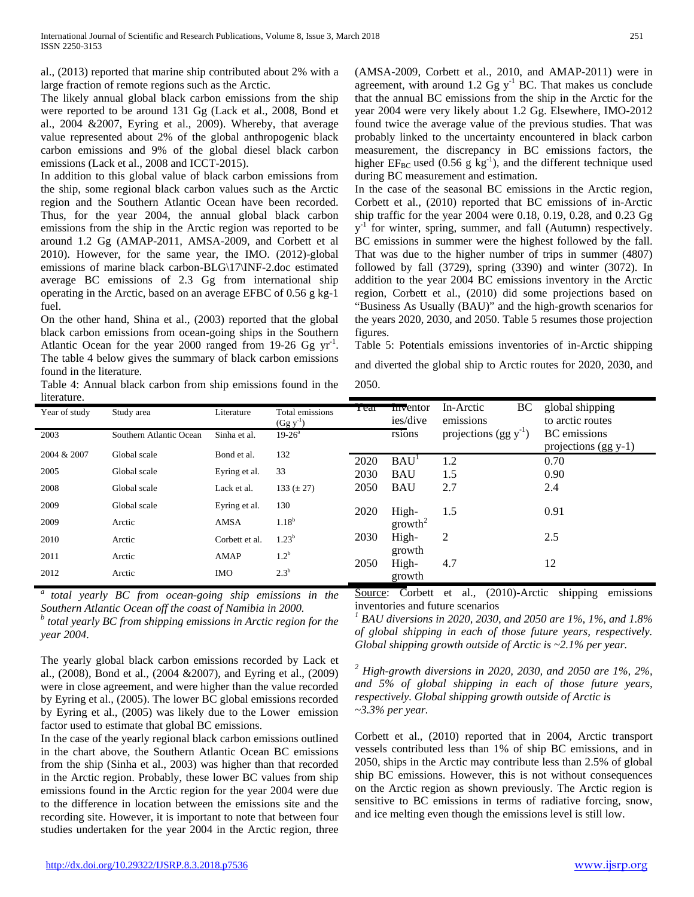al., (2013) reported that marine ship contributed about 2% with a large fraction of remote regions such as the Arctic.

The likely annual global black carbon emissions from the ship were reported to be around 131 Gg (Lack et al., 2008, Bond et al., 2004 &2007, Eyring et al., 2009). Whereby, that average value represented about 2% of the global anthropogenic black carbon emissions and 9% of the global diesel black carbon emissions (Lack et al., 2008 and ICCT-2015).

In addition to this global value of black carbon emissions from the ship, some regional black carbon values such as the Arctic region and the Southern Atlantic Ocean have been recorded. Thus, for the year 2004, the annual global black carbon emissions from the ship in the Arctic region was reported to be around 1.2 Gg (AMAP-2011, AMSA-2009, and Corbett et al 2010). However, for the same year, the IMO. (2012)-global emissions of marine black carbon-BLG\17\INF-2.doc estimated average BC emissions of 2.3 Gg from international ship operating in the Arctic, based on an average EFBC of 0.56 g kg-1 fuel.

On the other hand, Shina et al., (2003) reported that the global black carbon emissions from ocean-going ships in the Southern Atlantic Ocean for the year 2000 ranged from  $19-26$  Gg yr<sup>-1</sup>. The table 4 below gives the summary of black carbon emissions found in the literature.

Table 4: Annual black carbon from ship emissions found in the literature.

| (AMSA-2009, Corbett et al., 2010, and AMAP-2011) were in                           |
|------------------------------------------------------------------------------------|
| agreement, with around 1.2 Gg $y^{-1}$ BC. That makes us conclude                  |
| that the annual BC emissions from the ship in the Arctic for the                   |
| year 2004 were very likely about 1.2 Gg. Elsewhere, IMO-2012                       |
| found twice the average value of the previous studies. That was                    |
| probably linked to the uncertainty encountered in black carbon                     |
| measurement, the discrepancy in BC emissions factors, the                          |
| higher $EF_{BC}$ used (0.56 g kg <sup>-1</sup> ), and the different technique used |
| during BC measurement and estimation.                                              |

In the case of the seasonal BC emissions in the Arctic region, Corbett et al., (2010) reported that BC emissions of in-Arctic ship traffic for the year 2004 were 0.18, 0.19, 0.28, and 0.23 Gg  $y<sup>-1</sup>$  for winter, spring, summer, and fall (Autumn) respectively. BC emissions in summer were the highest followed by the fall. That was due to the higher number of trips in summer (4807) followed by fall (3729), spring (3390) and winter (3072). In addition to the year 2004 BC emissions inventory in the Arctic region, Corbett et al., (2010) did some projections based on "Business As Usually (BAU)" and the high-growth scenarios for the years 2020, 2030, and 2050. Table 5 resumes those projection figures.

Table 5: Potentials emissions inventories of in-Arctic shipping and diverted the global ship to Arctic routes for 2020, 2030, and 2050.

| nterature.    |                         |                |                                  |      |                     |                              |                                     |
|---------------|-------------------------|----------------|----------------------------------|------|---------------------|------------------------------|-------------------------------------|
| Year of study | Study area              | Literature     | Total emissions<br>$(Gg y^{-1})$ | геаг | mventor<br>ies/dive | BC<br>In-Arctic<br>emissions | global shipping<br>to arctic routes |
| 2003          | Southern Atlantic Ocean | Sinha et al.   | $19 - 26^{\circ}$                |      | rsions              | projections $(gg y^{-1})$    | <b>BC</b> emissions                 |
| 2004 & 2007   | Global scale            | Bond et al.    | 132                              |      |                     |                              | projections $(gg y-1)$              |
|               |                         |                |                                  | 2020 | BAU <sup>1</sup>    | 1.2                          | 0.70                                |
| 2005          | Global scale            | Eyring et al.  | 33                               | 2030 | <b>BAU</b>          | 1.5                          | 0.90                                |
| 2008          | Global scale            | Lack et al.    | 133 $(\pm 27)$                   | 2050 | <b>BAU</b>          | 2.7                          | 2.4                                 |
| 2009          | Global scale            | Eyring et al.  | 130                              | 2020 | High-               | 1.5                          | 0.91                                |
| 2009          | Arctic                  | AMSA           | $1.18^{b}$                       |      | growth <sup>2</sup> |                              |                                     |
| 2010          | Arctic                  | Corbett et al. | $1.23^{b}$                       | 2030 | High-               | 2                            | 2.5                                 |
| 2011          | Arctic                  | <b>AMAP</b>    | 1.2 <sup>b</sup>                 | 2050 | growth<br>High-     | 4.7                          | 12                                  |
| 2012          | Arctic                  | <b>IMO</b>     | $2.3^b$                          |      | growth              |                              |                                     |

*a total yearly BC from ocean-going ship emissions in the Southern Atlantic Ocean off the coast of Namibia in 2000.*

*<sup>b</sup> total yearly BC from shipping emissions in Arctic region for the year 2004.*

The yearly global black carbon emissions recorded by Lack et al., (2008), Bond et al., (2004 &2007), and Eyring et al., (2009) were in close agreement, and were higher than the value recorded by Eyring et al., (2005). The lower BC global emissions recorded by Eyring et al., (2005) was likely due to the Lower emission factor used to estimate that global BC emissions.

In the case of the yearly regional black carbon emissions outlined in the chart above, the Southern Atlantic Ocean BC emissions from the ship (Sinha et al., 2003) was higher than that recorded in the Arctic region. Probably, these lower BC values from ship emissions found in the Arctic region for the year 2004 were due to the difference in location between the emissions site and the recording site. However, it is important to note that between four studies undertaken for the year 2004 in the Arctic region, three

Source: Corbett et al., (2010)-Arctic shipping emissions inventories and future scenarios

*<sup>1</sup> BAU diversions in 2020, 2030, and 2050 are 1%, 1%, and 1.8% of global shipping in each of those future years, respectively. Global shipping growth outside of Arctic is ~2.1% per year.*

*<sup>2</sup> High-growth diversions in 2020, 2030, and 2050 are 1%, 2%, and 5% of global shipping in each of those future years, respectively. Global shipping growth outside of Arctic is ~3.3% per year.*

Corbett et al., (2010) reported that in 2004, Arctic transport vessels contributed less than 1% of ship BC emissions, and in 2050, ships in the Arctic may contribute less than 2.5% of global ship BC emissions. However, this is not without consequences on the Arctic region as shown previously. The Arctic region is sensitive to BC emissions in terms of radiative forcing, snow, and ice melting even though the emissions level is still low.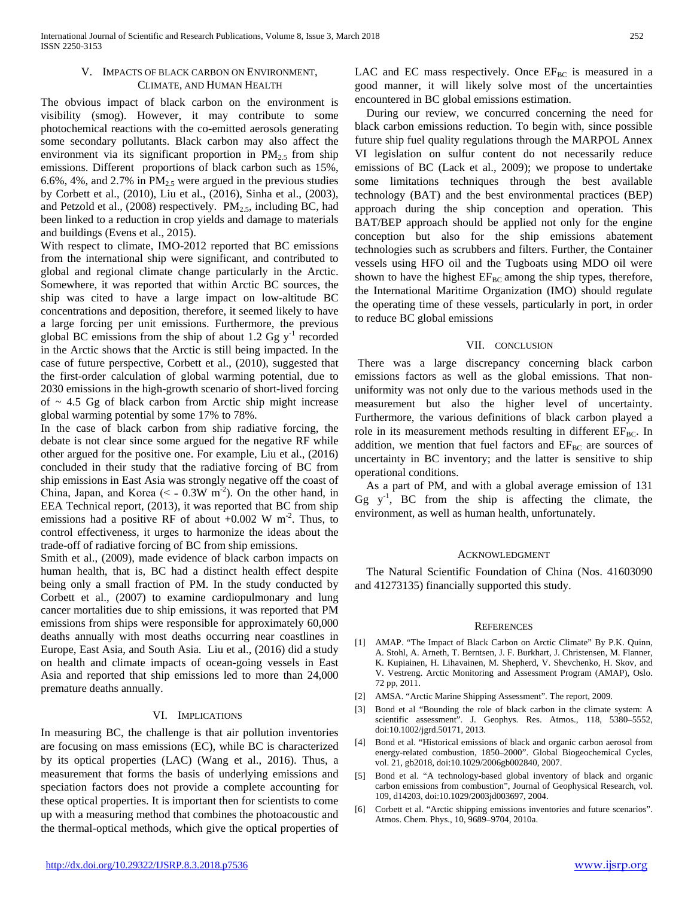## V. IMPACTS OF BLACK CARBON ON ENVIRONMENT, CLIMATE, AND HUMAN HEALTH

The obvious impact of black carbon on the environment is visibility (smog). However, it may contribute to some photochemical reactions with the co-emitted aerosols generating some secondary pollutants. Black carbon may also affect the environment via its significant proportion in  $PM_{2.5}$  from ship emissions. Different proportions of black carbon such as 15%, 6.6%, 4%, and 2.7% in  $PM_{2.5}$  were argued in the previous studies by Corbett et al., (2010), Liu et al., (2016), Sinha et al., (2003), and Petzold et al., (2008) respectively.  $PM_{2.5}$ , including BC, had been linked to a reduction in crop yields and damage to materials and buildings (Evens et al., 2015).

With respect to climate, IMO-2012 reported that BC emissions from the international ship were significant, and contributed to global and regional climate change particularly in the Arctic. Somewhere, it was reported that within Arctic BC sources, the ship was cited to have a large impact on low-altitude BC concentrations and deposition, therefore, it seemed likely to have a large forcing per unit emissions. Furthermore, the previous global BC emissions from the ship of about 1.2 Gg  $y^{-1}$  recorded in the Arctic shows that the Arctic is still being impacted. In the case of future perspective, Corbett et al., (2010), suggested that the first-order calculation of global warming potential, due to 2030 emissions in the high-growth scenario of short-lived forcing of  $\sim$  4.5 Gg of black carbon from Arctic ship might increase global warming potential by some 17% to 78%.

In the case of black carbon from ship radiative forcing, the debate is not clear since some argued for the negative RF while other argued for the positive one. For example, Liu et al., (2016) concluded in their study that the radiative forcing of BC from ship emissions in East Asia was strongly negative off the coast of China, Japan, and Korea ( $\leq$  - 0.3W m<sup>-2</sup>). On the other hand, in EEA Technical report, (2013), it was reported that BC from ship emissions had a positive RF of about  $+0.002 \text{ W m}^2$ . Thus, to control effectiveness, it urges to harmonize the ideas about the trade-off of radiative forcing of BC from ship emissions.

Smith et al., (2009), made evidence of black carbon impacts on human health, that is, BC had a distinct health effect despite being only a small fraction of PM. In the study conducted by Corbett et al., (2007) to examine cardiopulmonary and lung cancer mortalities due to ship emissions, it was reported that PM emissions from ships were responsible for approximately 60,000 deaths annually with most deaths occurring near coastlines in Europe, East Asia, and South Asia. Liu et al., (2016) did a study on health and climate impacts of ocean-going vessels in East Asia and reported that ship emissions led to more than 24,000 premature deaths annually.

## VI. IMPLICATIONS

In measuring BC, the challenge is that air pollution inventories are focusing on mass emissions (EC), while BC is characterized by its optical properties (LAC) (Wang et al., 2016). Thus, a measurement that forms the basis of underlying emissions and speciation factors does not provide a complete accounting for these optical properties. It is important then for scientists to come up with a measuring method that combines the photoacoustic and the thermal-optical methods, which give the optical properties of

LAC and EC mass respectively. Once  $EF_{BC}$  is measured in a good manner, it will likely solve most of the uncertainties encountered in BC global emissions estimation.

During our review, we concurred concerning the need for black carbon emissions reduction. To begin with, since possible future ship fuel quality regulations through the MARPOL Annex VI legislation on sulfur content do not necessarily reduce emissions of BC (Lack et al., 2009); we propose to undertake some limitations techniques through the best available technology (BAT) and the best environmental practices (BEP) approach during the ship conception and operation. This BAT/BEP approach should be applied not only for the engine conception but also for the ship emissions abatement technologies such as scrubbers and filters. Further, the Container vessels using HFO oil and the Tugboats using MDO oil were shown to have the highest  $EF_{BC}$  among the ship types, therefore, the International Maritime Organization (IMO) should regulate the operating time of these vessels, particularly in port, in order to reduce BC global emissions

# VII. CONCLUSION

There was a large discrepancy concerning black carbon emissions factors as well as the global emissions. That nonuniformity was not only due to the various methods used in the measurement but also the higher level of uncertainty. Furthermore, the various definitions of black carbon played a role in its measurement methods resulting in different  $EF_{BC}$ . In addition, we mention that fuel factors and  $EF_{BC}$  are sources of uncertainty in BC inventory; and the latter is sensitive to ship operational conditions.

As a part of PM, and with a global average emission of 131 Gg  $y^{-1}$ , BC from the ship is affecting the climate, the environment, as well as human health, unfortunately.

## ACKNOWLEDGMENT

The Natural Scientific Foundation of China (Nos. 41603090 and 41273135) financially supported this study.

#### **REFERENCES**

- [1] AMAP. "The Impact of Black Carbon on Arctic Climate" By P.K. Quinn, A. Stohl, A. Arneth, T. Berntsen, J. F. Burkhart, J. Christensen, M. Flanner, K. Kupiainen, H. Lihavainen, M. Shepherd, V. Shevchenko, H. Skov, and V. Vestreng. Arctic Monitoring and Assessment Program (AMAP), Oslo. 72 pp, 2011.
- [2] AMSA. "Arctic Marine Shipping Assessment". The report, 2009.
- [3] Bond et al "Bounding the role of black carbon in the climate system: A scientific assessment". J. Geophys. Res. Atmos., 118, 5380–5552, doi:10.1002/jgrd.50171, 2013.
- [4] Bond et al. "Historical emissions of black and organic carbon aerosol from energy-related combustion, 1850–2000". Global Biogeochemical Cycles, vol. 21, gb2018, doi:10.1029/2006gb002840, 2007.
- [5] Bond et al. "A technology-based global inventory of black and organic carbon emissions from combustion", Journal of Geophysical Research, vol. 109, d14203, doi:10.1029/2003jd003697, 2004.
- [6] Corbett et al. "Arctic shipping emissions inventories and future scenarios". Atmos. Chem. Phys., 10, 9689–9704, 2010a.